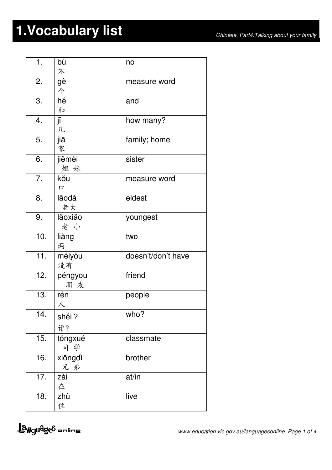## **1.Vocabulary list** *Chinese, Part4:Talking about your family*

| 1.  | bù      | no                 |
|-----|---------|--------------------|
|     | 不       |                    |
| 2.  | gè      | measure word       |
|     | 个       |                    |
| 3.  | hé      | and                |
|     | 和       |                    |
| 4.  | jĭ      | how many?          |
|     | 几       |                    |
| 5.  | jiā     | family; home       |
|     | 家       |                    |
| 6.  | jiěmèi  | sister             |
|     | 姐妹      |                    |
| 7.  | kŏu     | measure word       |
|     | $\Box$  |                    |
| 8.  | lăodà   | eldest             |
|     | 老大      |                    |
| 9.  | lăoxiăo | youngest           |
|     | 老小      |                    |
| 10. | liăng   | two                |
|     | 两       |                    |
| 11. | méiyòu  | doesn't/don't have |
|     | 没有      |                    |
| 12. | péngyou | friend             |
|     | 朋 友     |                    |
| 13. | rén     | people             |
|     | 人       |                    |
| 14. | shéi?   | who?               |
|     | 谁?      |                    |
| 15. | tóngxué | classmate          |
|     | 同学      |                    |
| 16. | xiōngdì | brother            |
|     | 兄弟      |                    |
| 17. | zài     | at/in              |
|     | 在       |                    |
| 18. | zhù     | live               |
|     | 住       |                    |
|     |         |                    |

<u>la guages</u> online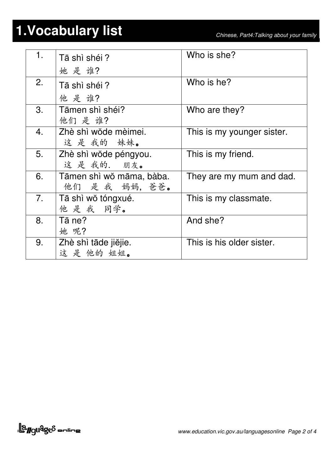## **1.Vocabulary list** *Chinese, Part4:Talking about your family*

| 1.               | Tā shì shéi?<br>她是谁?                       | Who is she?                |
|------------------|--------------------------------------------|----------------------------|
| 2.               | Tā shì shéi?<br>他是谁?                       | Who is he?                 |
| 3.               | Tāmen shì shéi?<br>他们是谁?                   | Who are they?              |
| $\overline{4}$ . | Zhè shì wŏde mèimei.<br>这是我的妹妹。            | This is my younger sister. |
| 5.               | Zhè shì wŏde péngyou.<br>这是我的. 朋友。         | This is my friend.         |
| 6.               | Tāmen shì wǒ māma, bàba.<br>他们 是 我 妈妈, 爸爸。 | They are my mum and dad.   |
| 7 <sub>1</sub>   | Tā shì wǒ tóngxué.<br>他是我 同学。              | This is my classmate.      |
| 8.               | Tā ne?<br>她 呢?                             | And she?                   |
| 9.               | Zhè shì tāde jiějie.<br>这是他的姐姐。            | This is his older sister.  |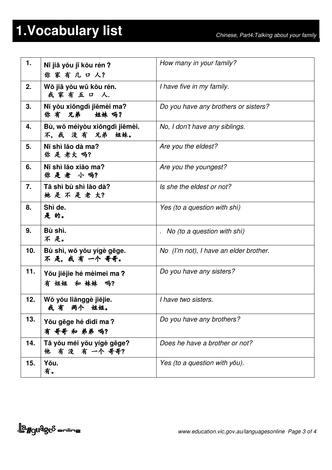## **1.Vocabulary list** *Chinese, Part4:Talking about your family*

| 1.  | Ni jiā yǒu ji kǒu rén?<br>你家有几口人?            | How many in your family?               |
|-----|----------------------------------------------|----------------------------------------|
| 2.  | Wǒ jiā yǒu wǔ kǒu rén.<br>我家有五口人.            | I have five in my family.              |
| 3.  | Ni yŏu xiōngdì jiĕmèi ma?<br>你有兄弟 姐妹吗?       | Do you have any brothers or sisters?   |
| 4.  | Bù, wǒ méiyòu xiōngdì jiěmèi.<br>不,我没有兄弟姐妹。  | No, I don't have any siblings.         |
| 5.  | Ní shì lăo dà ma?<br>你是老大吗?                  | Are you the eldest?                    |
| 6.  | Ní shì lăo xiăo ma?<br>你是老小吗?                | Are you the youngest?                  |
| 7.  | Tā shì bù shì lăo dà?<br>她是不是老大?             | Is she the eldest or not?              |
| 8.  | Shì de.<br>是的。                               | Yes (to a question with shi)           |
| 9.  | Bù shì.<br>不是。                               | . No (to a question with shi)          |
| 10. | Bù shì, wǒ yǒu yígè gēge.<br>不 是, 我 有 一个 哥哥。 | No (I'm not), I have an elder brother. |
| 11. | Yŏu jiĕjie hé mèimei ma?<br>有 姐姐 和 妹妹 吗?     | Do you have any sisters?               |
| 12. | Wǒ yǒu liǎnggè jiějie.<br>我 有<br>两个<br>姐姐。   | I have two sisters.                    |
| 13. | You gēge hé dìdi ma?<br>有 哥哥 和 弟弟 吗?         | Do you have any brothers?              |
| 14. | Tā yŏu méi yŏu yígè gēge?<br>有没有一个哥哥?<br>他   | Does he have a brother or not?         |
| 15. | Yŏu.<br>有。                                   | Yes (to a question with you).          |

<u>la guages</u> online